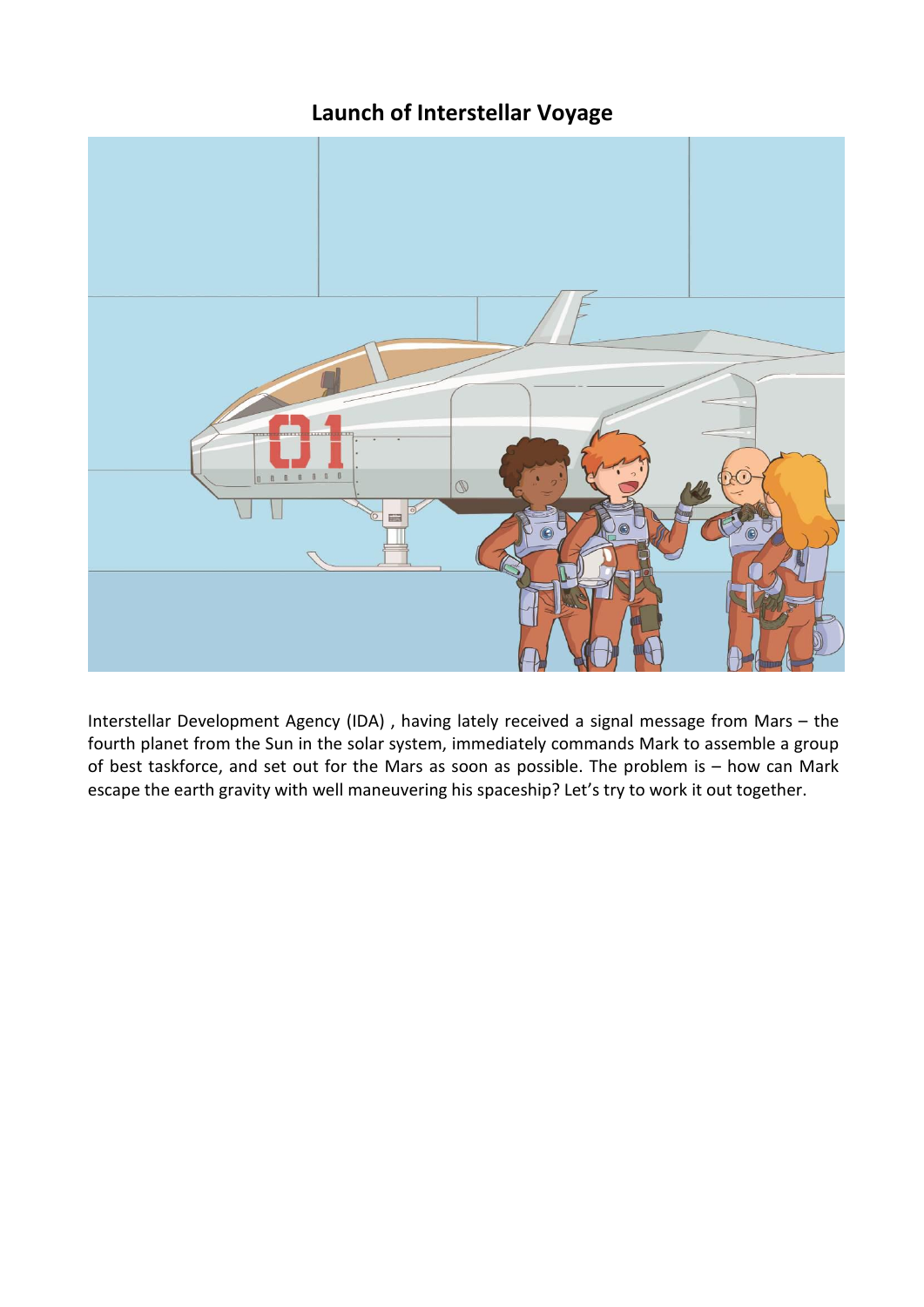# **Launch of Interstellar Voyage**



Interstellar Development Agency (IDA) , having lately received a signal message from Mars – the fourth planet from the Sun in the solar system, immediately commands Mark to assemble a group of best taskforce, and set out for the Mars as soon as possible. The problem is – how can Mark escape the earth gravity with well maneuvering his spaceship? Let's try to work it out together.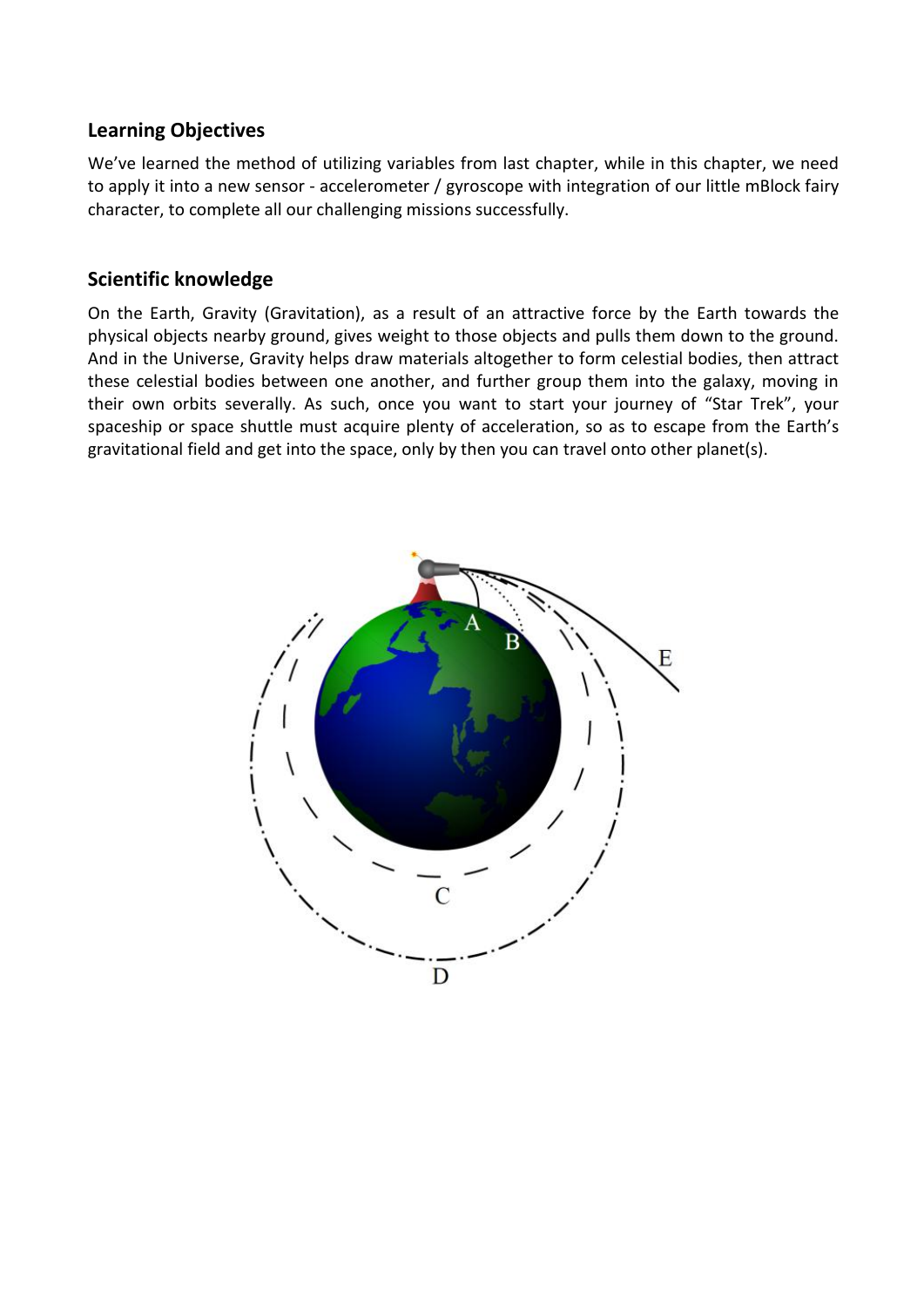#### **Learning Objectives**

We've learned the method of utilizing variables from last chapter, while in this chapter, we need to apply it into a new sensor - accelerometer / gyroscope with integration of our little mBlock fairy character, to complete all our challenging missions successfully.

#### **Scientific knowledge**

On the Earth, Gravity (Gravitation), as a result of an attractive force by the Earth towards the physical objects nearby ground, gives weight to those objects and pulls them down to the ground. And in the Universe, Gravity helps draw materials altogether to form celestial bodies, then attract these celestial bodies between one another, and further group them into the galaxy, moving in their own orbits severally. As such, once you want to start your journey of "Star Trek", your spaceship or space shuttle must acquire plenty of acceleration, so as to escape from the Earth's gravitational field and get into the space, only by then you can travel onto other planet(s).

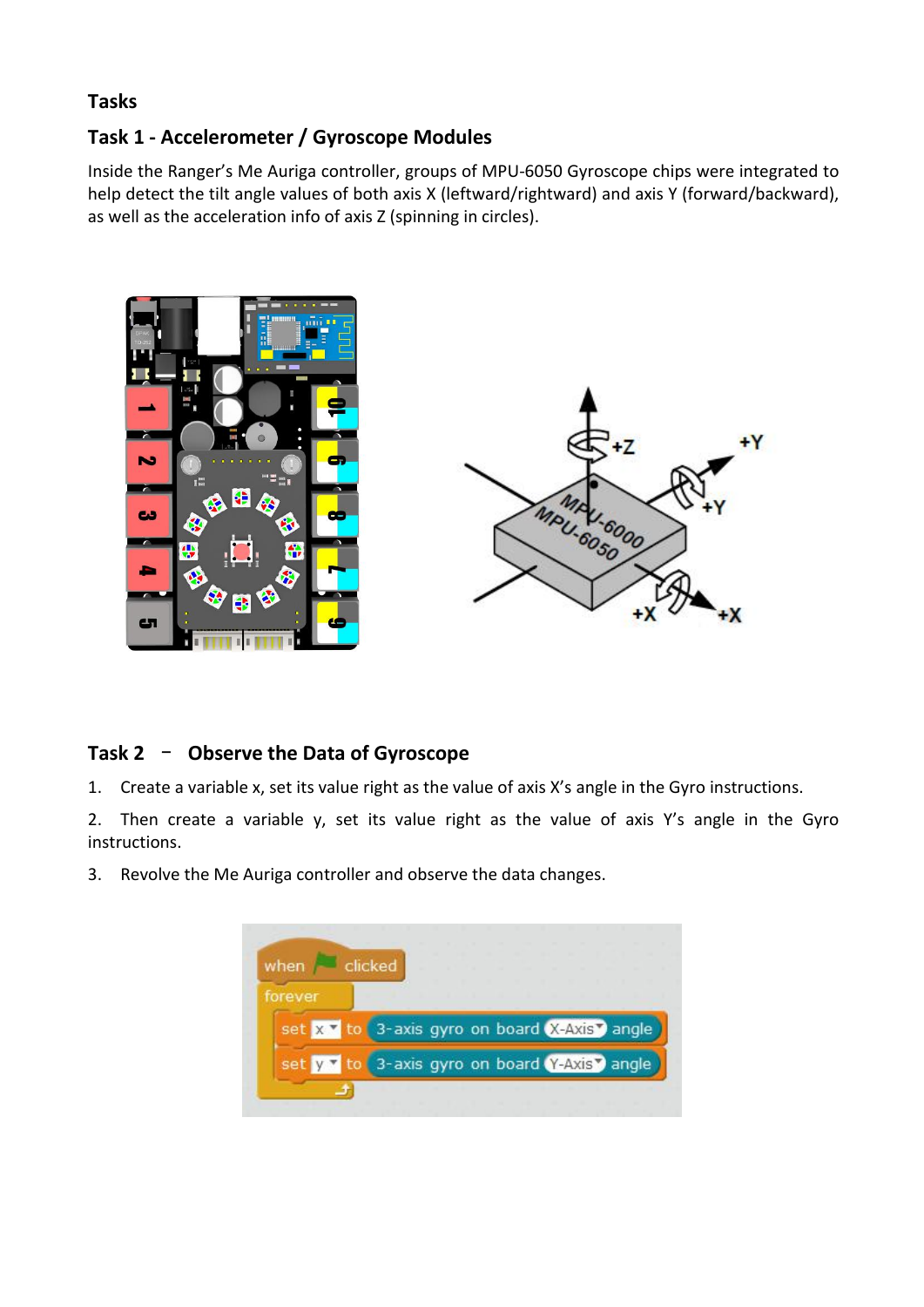### **Tasks**

# **Task 1 - Accelerometer / Gyroscope Modules**

Inside the Ranger's Me Auriga controller, groups of MPU-6050 Gyroscope chips were integrated to help detect the tilt angle values of both axis X (leftward/rightward) and axis Y (forward/backward), as well as the acceleration info of axis Z (spinning in circles).



# **Task 2** – **Observe the Data of Gyroscope**

1. Create a variable x, set its value right as the value of axis X's angle in the Gyro instructions.<br>2. Then create a variable y, set its value right as the value of axis Y's angle in the Gyro instructions.

3. Revolve the Me Auriga controller and observe the data changes.

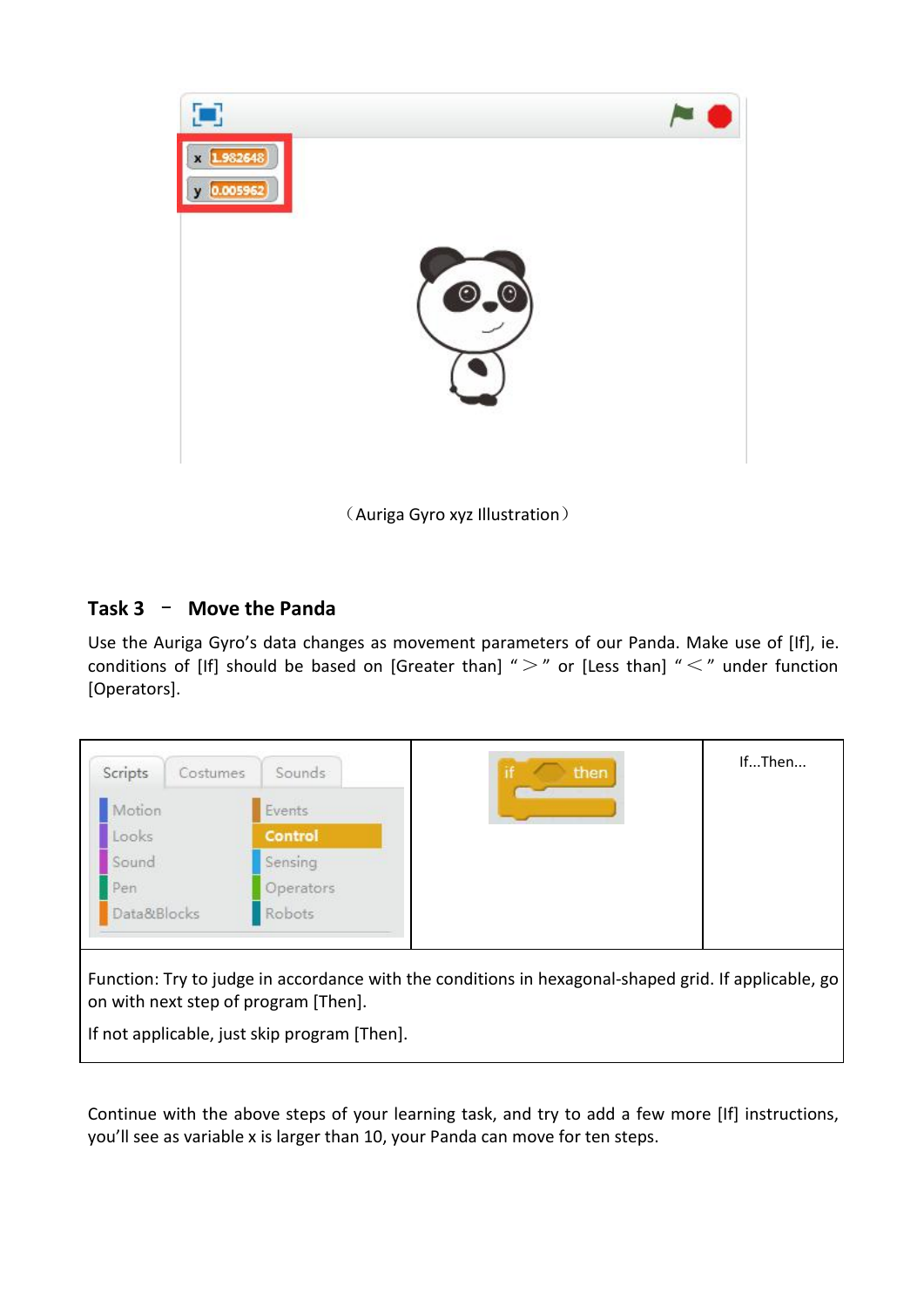

(Auriga Gyro xyz Illustration)

# **Task 3** – **Move the Panda**

Use the Auriga Gyro's data changes as movement parameters of our Panda. Make use of [If], ie. conditions of [If] should be based on [Greater than] " $>$ " or [Less than] " $\lt$ " under function [Operators].



Continue with the above steps of your learning task, and try to add a few more [If] instructions, you'll see as variable x is larger than 10, your Panda can move for ten steps.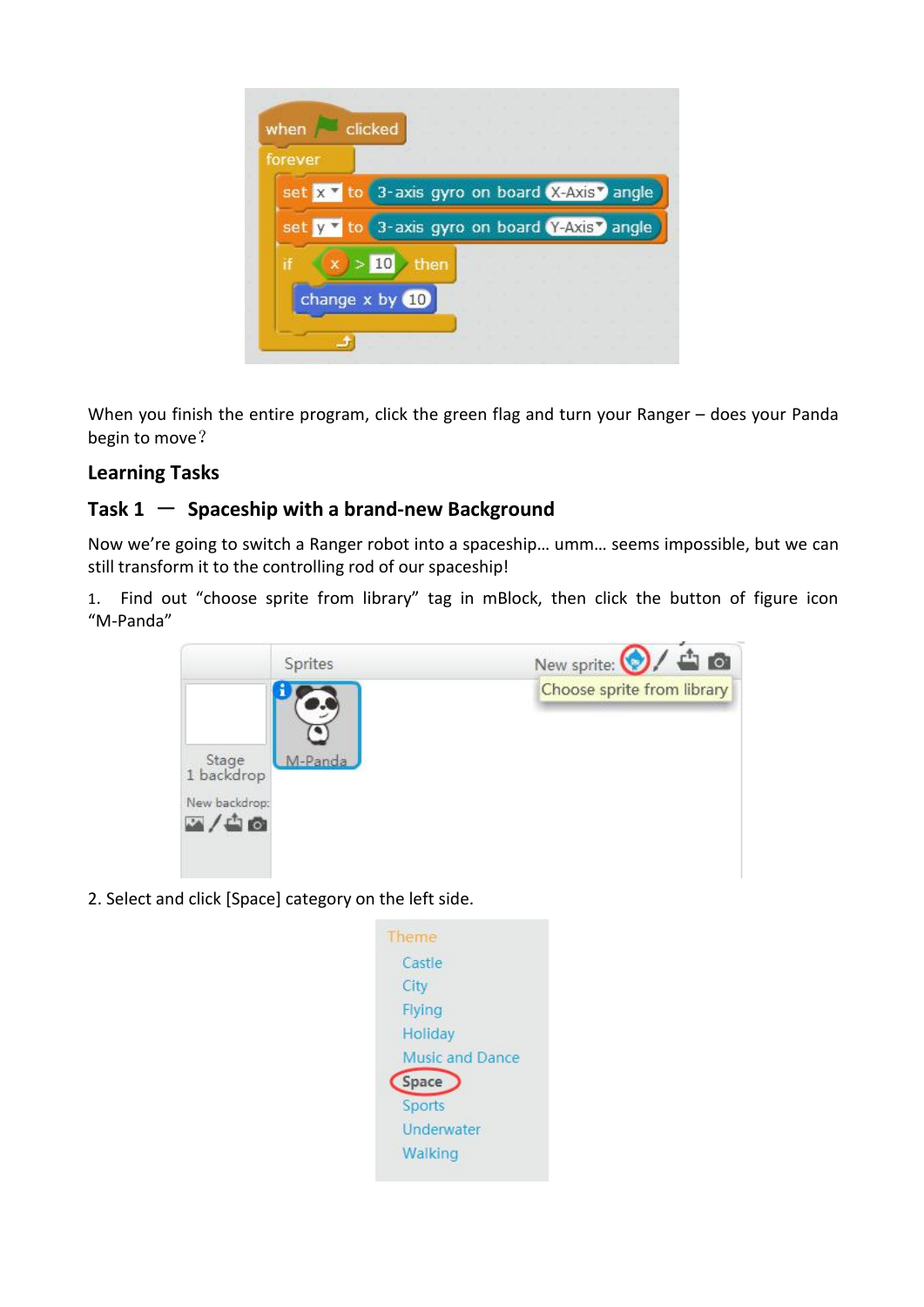

When you finish the entire program, click the green flag and turn your Ranger – does your Panda begin to move?

# **Learning Tasks**

# **Task**  $1 -$  **Spaceship** with a brand-new Background

Now we're going to switch a Ranger robot into a spaceship… umm… seems impossible, but we can still transform it to the controlling rod of our spaceship!

1. Find out "choose sprite from library" tag in mBlock, then click the button of figure icon "M-Panda"



2. Select and click [Space] category on the left side.

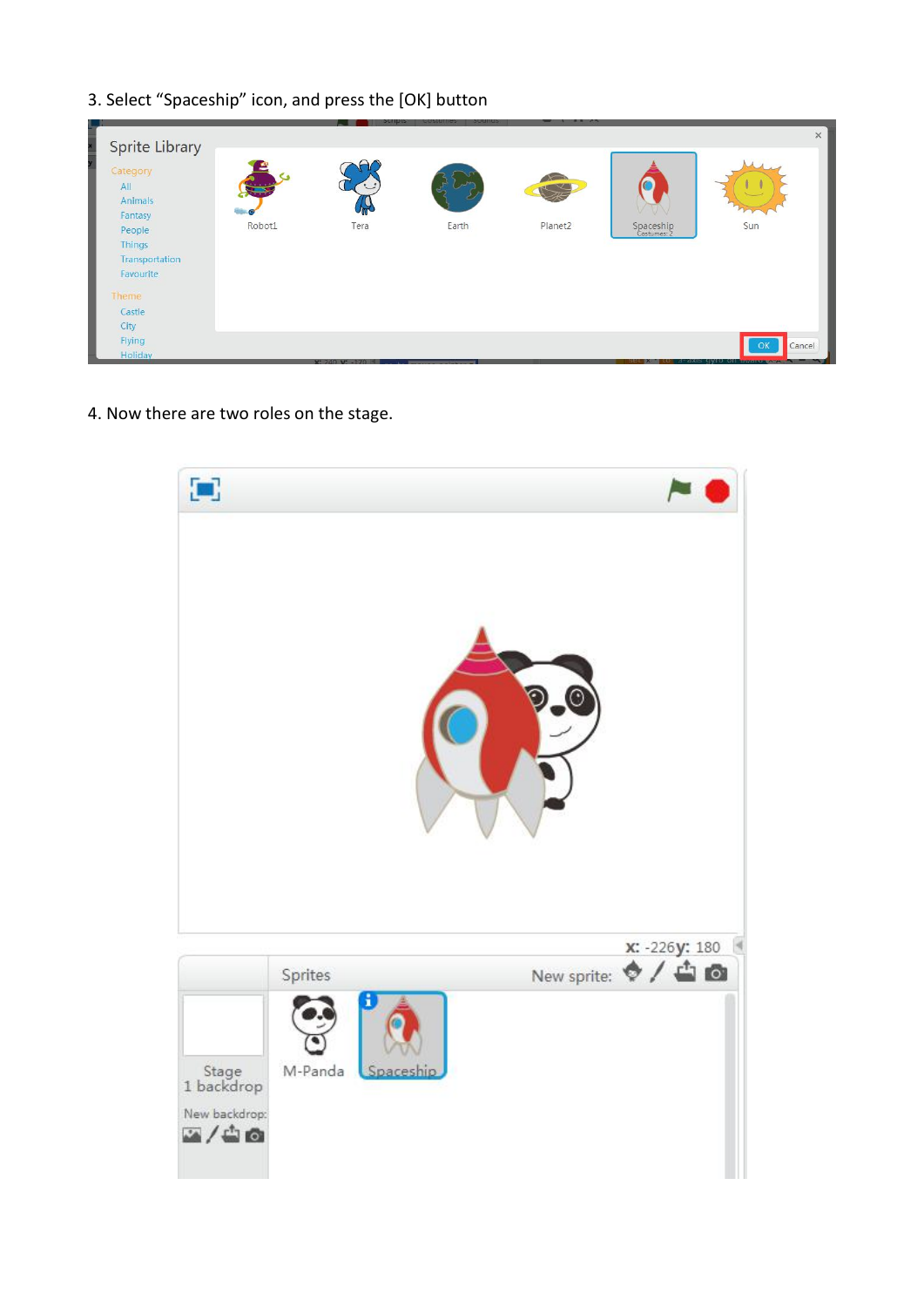3. Select "Spaceship" icon, and press the [OK] button



4. Now there are two roles on the stage.

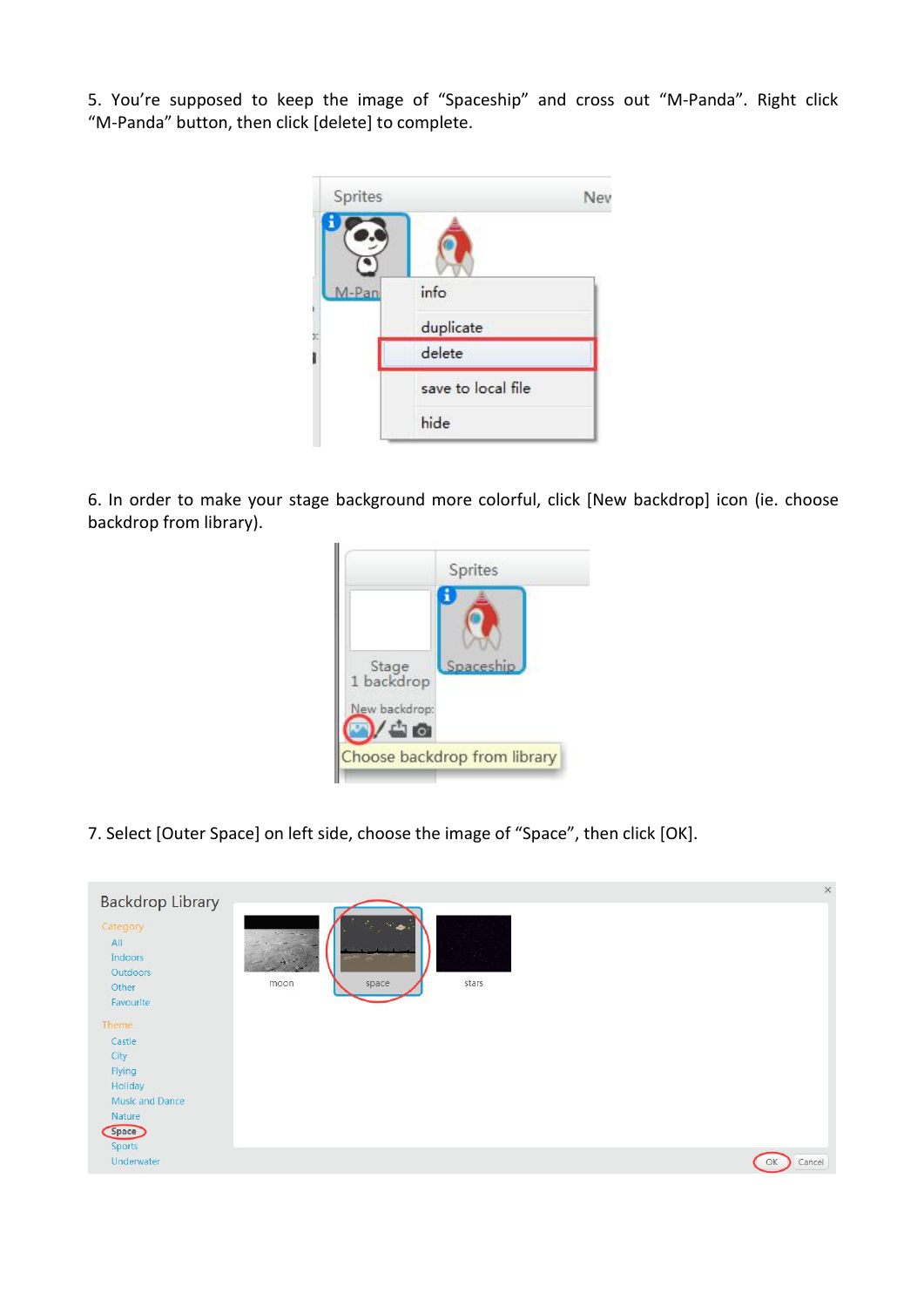5. You're supposed to keep the image of "Spaceship" and cross out "M-Panda". Right click "M-Panda" button, then click [delete] to complete.



6. In order to make your stage background more colorful, click [New backdrop] icon (ie. choose backdrop from library).



7. Select [Outer Space] on left side, choose the image of "Space", then click [OK].

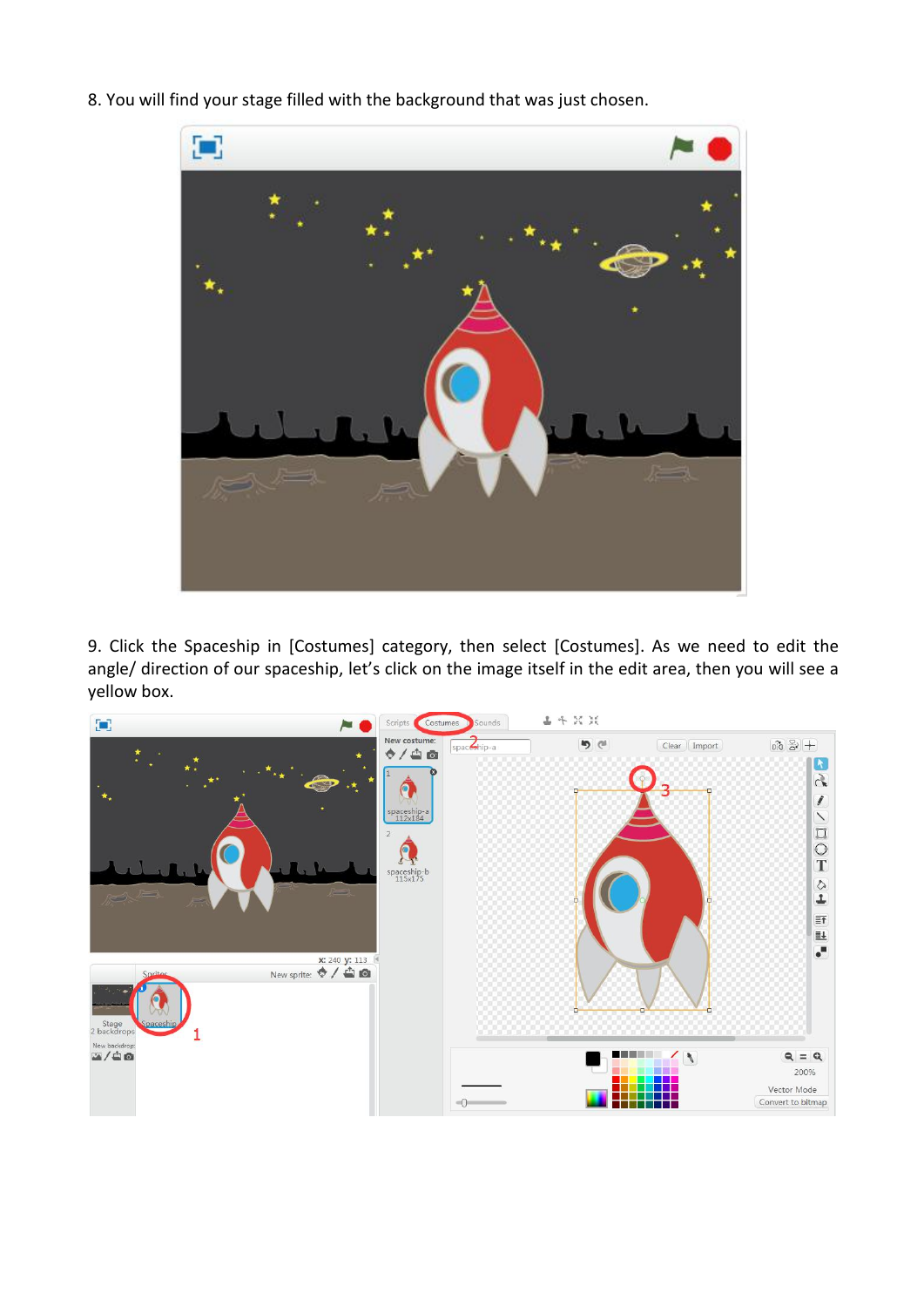8. You will find your stage filled with the background that was just chosen.



9. Click the Spaceship in [Costumes] category, then select [Costumes]. As we need to edit the angle/ direction of our spaceship, let's click on the image itself in the edit area, then you will see a yellow box.

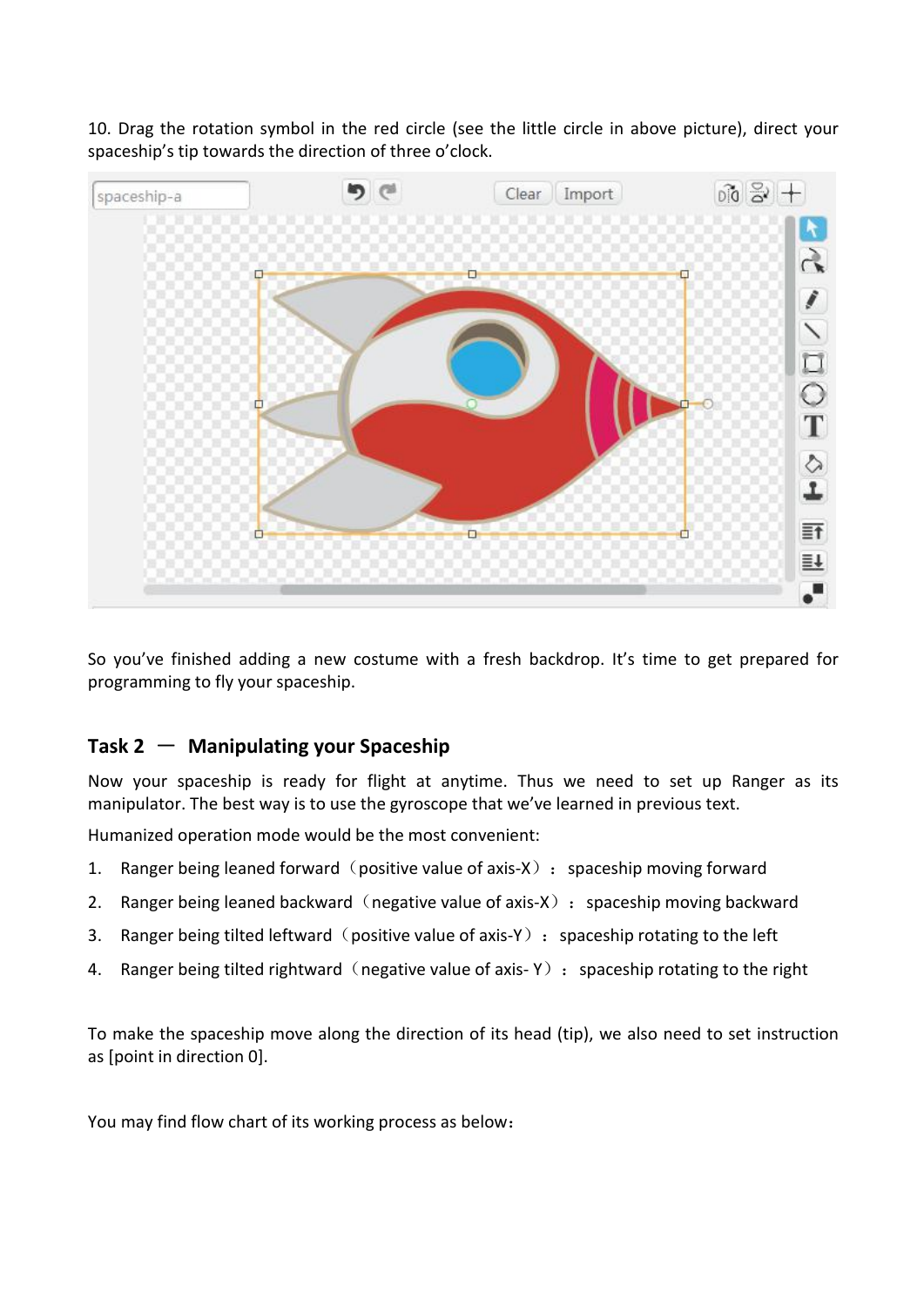10. Drag the rotation symbol in the red circle (see the little circle in above picture), direct your spaceship's tip towards the direction of three o'clock.



So you've finished adding a new costume with a fresh backdrop. It's time to get prepared for programming to fly your spaceship.

### **Task 2** - **Manipulating your Spaceship**

Now your spaceship is ready for flight at anytime. Thus we need to set up Ranger as its manipulator. The best way is to use the gyroscope that we've learned in previous text.

Humanized operation mode would be the most convenient:

- 1. Ranger being leaned forward (positive value of axis-X) : spaceship moving forward
- 2. Ranger being leaned backward (negative value of axis-X) : spaceship moving backward
- 3. Ranger being tilted leftward (positive value of axis-Y) : spaceship rotating to the left
- 4. Ranger being tilted rightward (negative value of axis- Y) : spaceship rotating to the right

To make the spaceship move along the direction of its head (tip), we also need to set instruction as [point in direction 0].

You may find flow chart of its working process as below: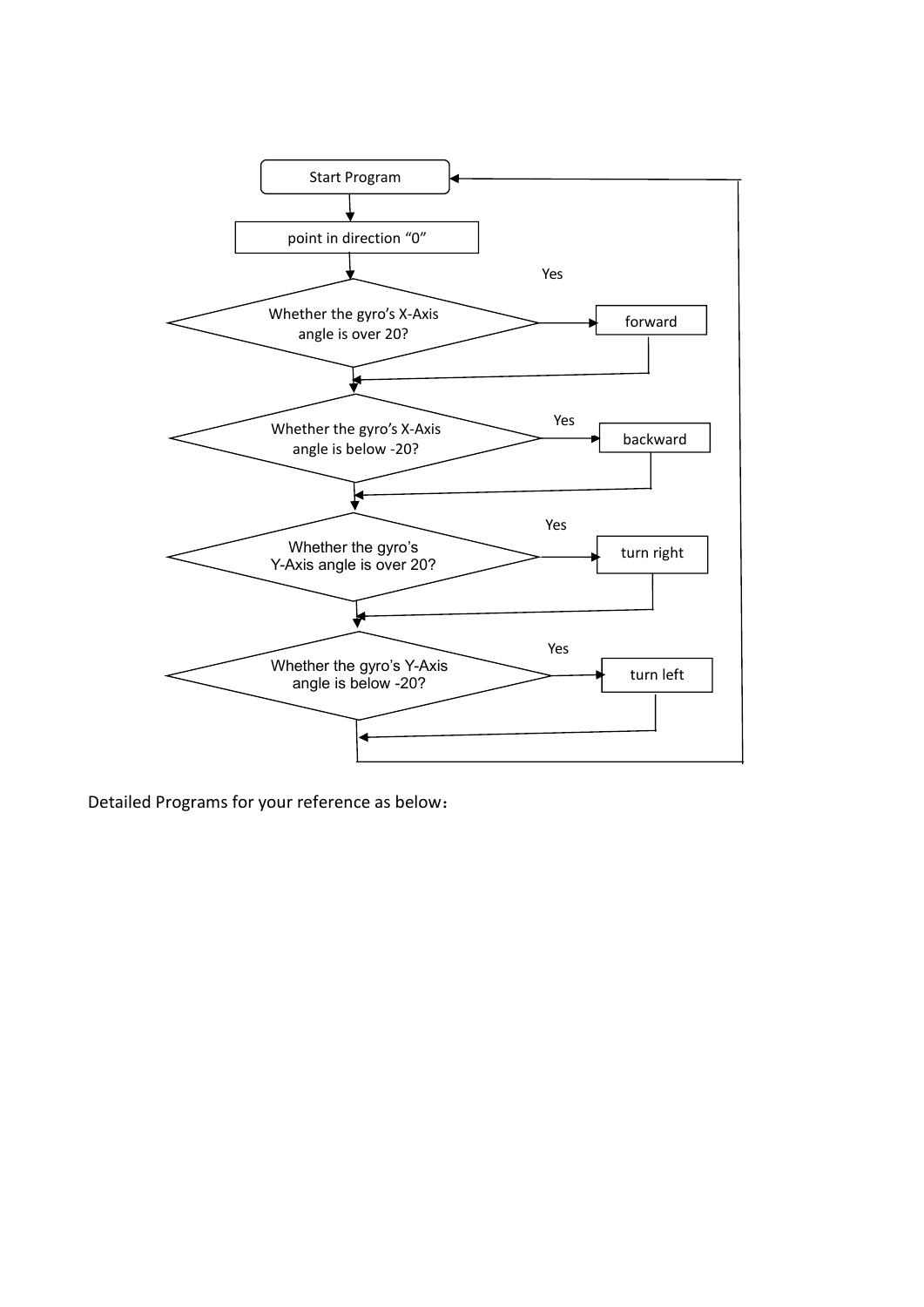

Detailed Programs for your reference as below: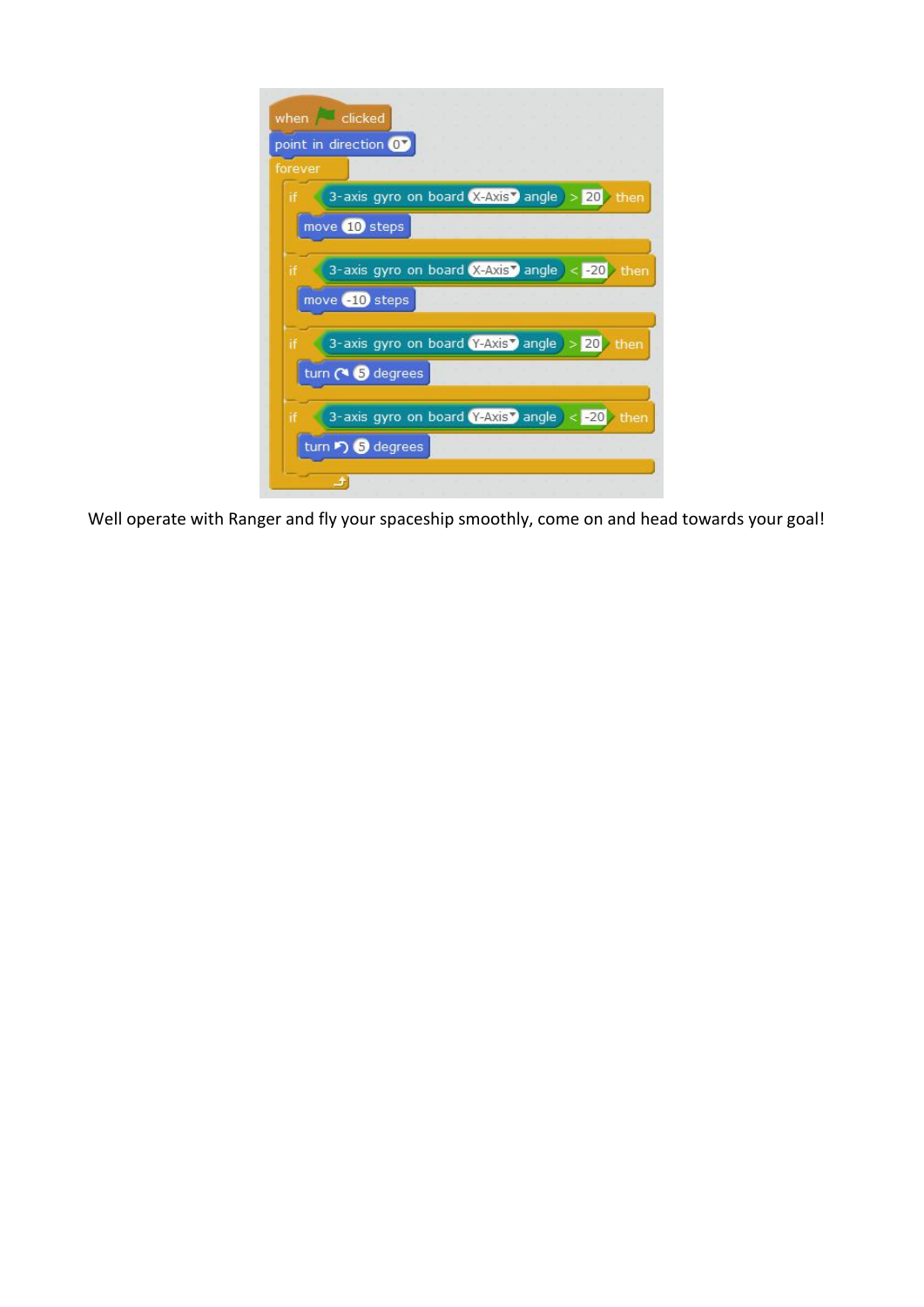|         | when clicked<br>point in direction OV                                      |
|---------|----------------------------------------------------------------------------|
| forever |                                                                            |
| if      | 3-axis gyro on board $(X-Ax)S$ angle $> 20$<br>then                        |
|         | move 10 steps                                                              |
|         | 3-axis gyro on board $(X-Axis)$ angle $ <$ -20<br>then<br>move $-10$ steps |
| if      | 3-axis gyro on board Y-Axis angle $> 20$ then                              |
|         | turn ( 5 degrees                                                           |
| îf      | 3-axis gyro on board Y-Axis <sup>y</sup> angle < - 20<br>then              |
|         | turn 5 degrees                                                             |

Well operate with Ranger and fly your spaceship smoothly, come on and head towards your goal!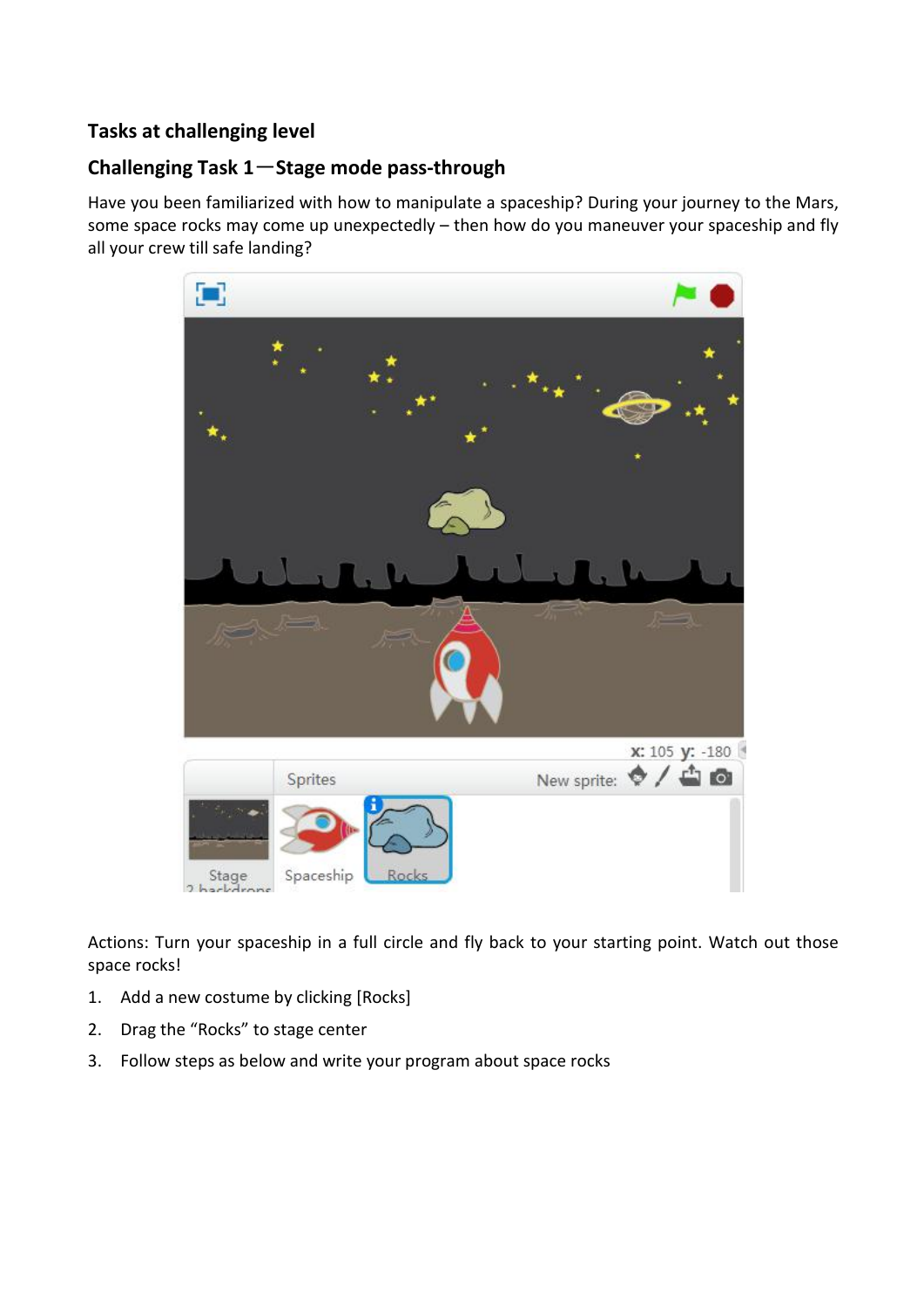#### **Tasks at challenging level**

### **Challenging Task 1**-**Stage mode pass-through**

Have you been familiarized with how to manipulate a spaceship? During your journey to the Mars, some space rocks may come up unexpectedly – then how do you maneuver your spaceship and fly all your crew till safe landing?



Actions: Turn your spaceship in a full circle and fly back to your starting point. Watch out those space rocks!

- 1. Add a new costume by clicking [Rocks]
- 2. Drag the "Rocks" to stage center
- 3. Follow steps as below and write your program about space rocks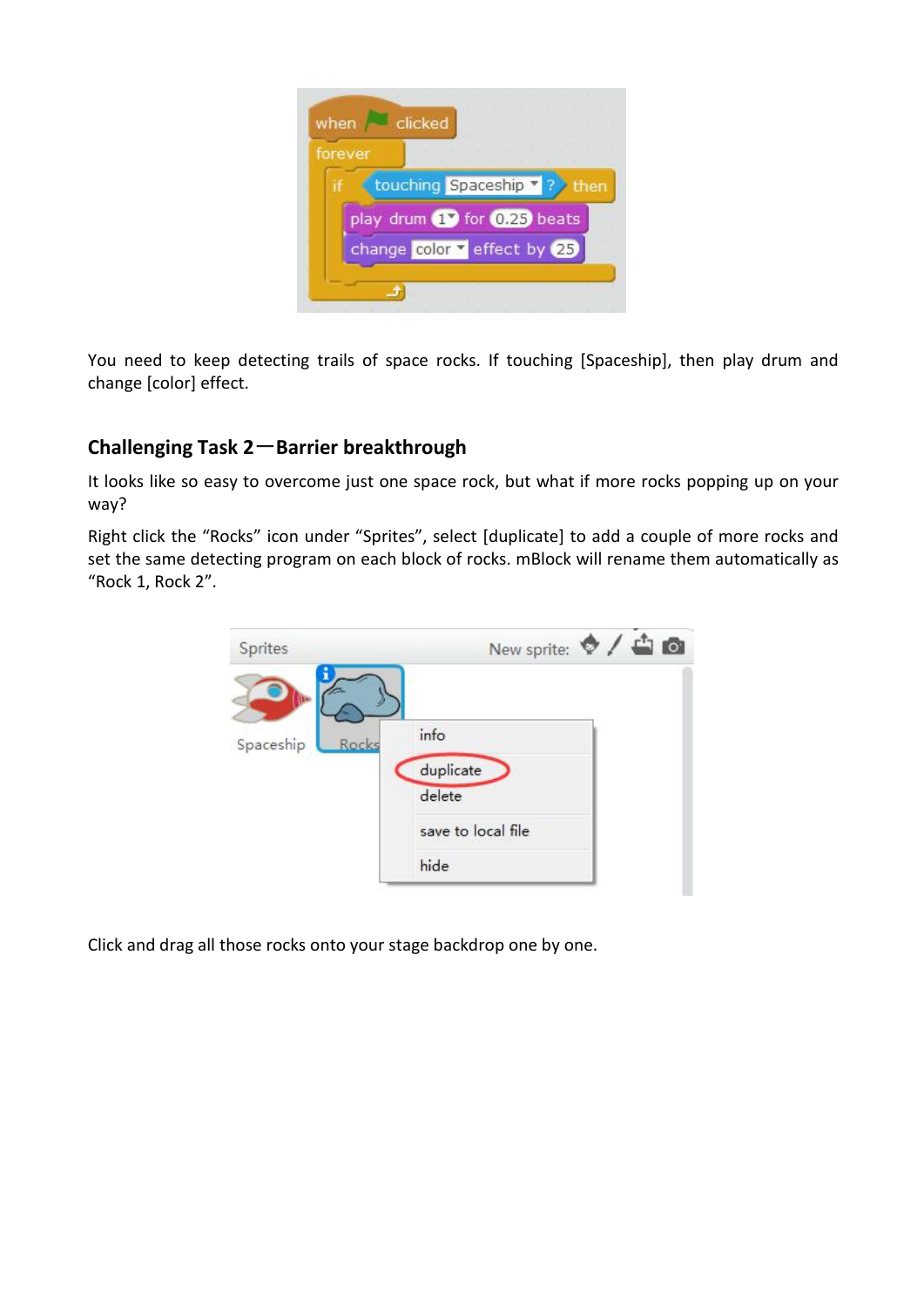

You need to keep detecting trails of space rocks. If touching [Spaceship], then play drum and change [color] effect.

# **Challenging Task 2**-**Barrier breakthrough**

It looks like so easy to overcome just one space rock, but what if more rocks popping up on your way?

Right click the "Rocks" icon under "Sprites", select [duplicate] to add a couple of more rocks and set the same detecting program on each block of rocks. mBlock will rename them automatically as "Rock 1, Rock 2".



Click and drag all those rocks onto your stage backdrop one by one.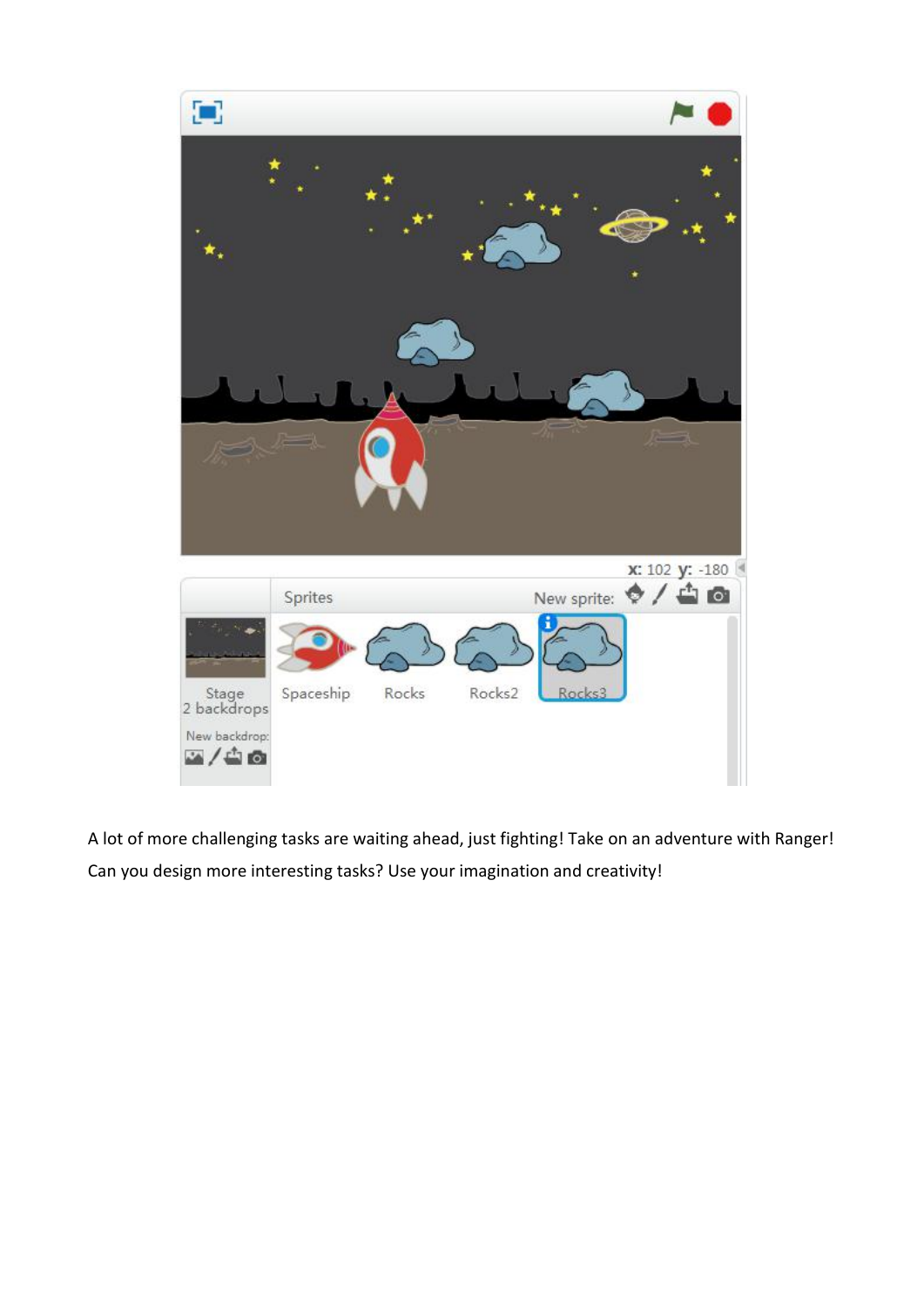

A lot of more challenging tasks are waiting ahead, just fighting! Take on an adventure with Ranger! Can you design more interesting tasks? Use your imagination and creativity!